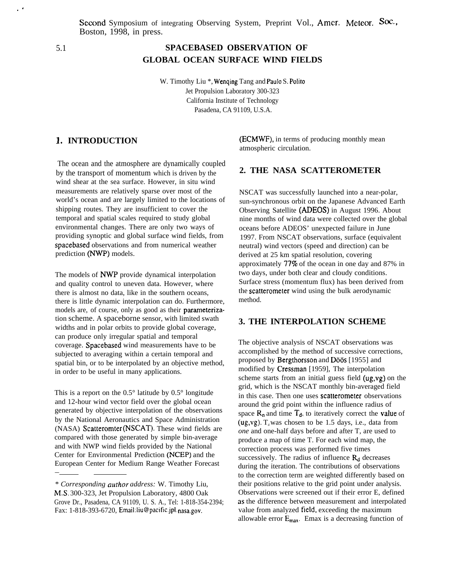Second Symposium of integrating Observing System, Preprint Vol., Amer. Meteor. Soc., Boston, 1998, in press.

,.

# 5.1 **SPACEBASED OBSERVATION OF GLOBAL OCEAN SURFACE WIND FIELDS**

W. Timothy Liu \*, Wenqing Tang and Paulo S. Polito Jet Propulsion Laboratory 300-323 California Institute of Technology Pasadena, CA 91109, U.S.A.

## **1. INTRODUCTION**

The ocean and the atmosphere are dynamically coupled by the transport of momentum which is driven by the wind shear at the sea surface. However, in situ wind measurements are relatively sparse over most of the world's ocean and are largely limited to the locations of shipping routes. They are insufficient to cover the temporal and spatial scales required to study global environmental changes. There are only two ways of providing synoptic and global surface wind fields, from spacebased observations and from numerical weather prediction (NWP) models.

The models of **NWP** provide dynamical interpolation and quality control to uneven data. However, where there is almost no data, like in the southern oceans, there is little dynamic interpolation can do. Furthermore, models are, of course, only as good as their parameterization scheme. A spaceborne sensor, with limited swath widths and in polar orbits to provide global coverage, can produce only irregular spatial and temporal coverage. Spacebased wind measurements have to be subjected to averaging within a certain temporal and spatial bin, or to be interpolated by an objective method, in order to be useful in many applications.

This is a report on the  $0.5^{\circ}$  latitude by  $0.5^{\circ}$  longitude and 12-hour wind vector field over the global ocean generated by objective interpolation of the observations by the National Aeronautics and Space Administration (NASA) Scatteromter (NSCAT). These wind fields are compared with those generated by simple bin-average and with NWP wind fields provided by the National Center for Environmental Prediction (NCEP) and the European Center for Medium Range Weather Forecast

—

(ECMWF), in terms of producing monthly mean atmospheric circulation.

# **2. THE NASA SCATTEROMETER**

NSCAT was successfully launched into a near-polar, sun-synchronous orbit on the Japanese Advanced Earth Observing Satellite (ADEOS) in August 1996. About nine months of wind data were collected over the global oceans before ADEOS' unexpected failure in June 1997. From NSCAT observations, surface (equivalent neutral) wind vectors (speed and direction) can be derived at 25 km spatial resolution, covering approximately  $77\%$  of the ocean in one day and  $87\%$  in two days, under both clear and cloudy conditions. Surface stress (momentum flux) has been derived from the scatterometer wind using the bulk aerodynamic method.

### **3. THE INTERPOLATION SCHEME**

The objective analysis of NSCAT observations was accomplished by the method of successive corrections, proposed by Bergthorsson and Döös [1955] and modified by Cressman [1959], The interpolation scheme starts from an initial guess field  $(ug,vg)$  on the grid, which is the NSCAT monthly bin-averaged field in this case. Then one uses scatterometer observations around the grid point within the influence radius of space  $R_n$  and time  $T_d$ , to iteratively correct the **value** of (ug,vg).  $T_d$  was chosen to be 1.5 days, i.e., data from *one* and one-half days before and after T, are used to produce a map of time T. For each wind map, the correction process was performed five times successively. The radius of influence  $R_d$  decreases during the iteration. The contributions of observations to the correction term are weighted differently based on their positions relative to the grid point under analysis. Observations were screened out if their error E, defined as the difference between measurement and interpolated value from analyzed field, exceeding the maximum allowable error  $E_{max}$ . Emax is a decreasing function of

<sup>\*</sup> *Corresponding author address:* W. Timothy Liu, M.S. 300-323, Jet Propulsion Laboratory, 4800 Oak Grove Dr., Pasadena, CA 91109, U. S. A., Tel: 1-818-354-2394; Fax: 1-818-393-6720, Email:liu@pacific,jpl. nasa.gov.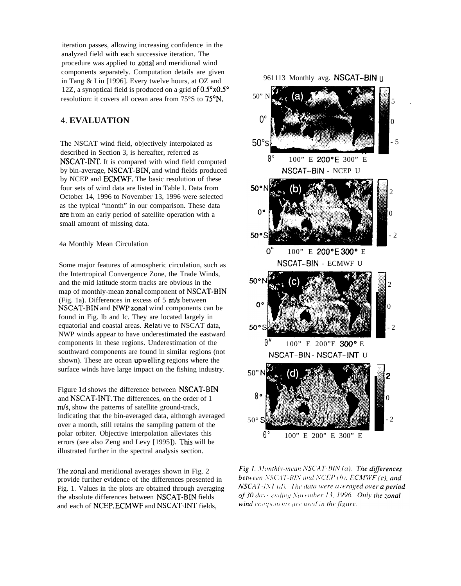iteration passes, allowing increasing confidence in the analyzed field with each successive iteration. The procedure was applied to zonal and meridional wind components separately. Computation details are given in Tang & Liu [1996]. Every twelve hours, at OZ and 12Z, a synoptical field is produced on a grid of  $0.5^\circ \times 0.5^\circ$ resolution: it covers all ocean area from 75°S to 75°N.

### 4. **EVALUATION**

The NSCAT wind field, objectively interpolated as described in Section 3, is hereafter, referred as NSCAT-INT. It is compared with wind field computed by bin-average, NSCAT-BIN, and wind fields produced by NCEP and ECMWF. The basic resolution of these four sets of wind data are listed in Table I. Data from October 14, 1996 to November 13, 1996 were selected as the typical "month" in our comparison. These data are from an early period of satellite operation with a small amount of missing data.

#### 4a Monthly Mean Circulation

Some major features of atmospheric circulation, such as the Intertropical Convergence Zone, the Trade Winds, and the mid latitude storm tracks are obvious in the map of monthly-mean zonal component of NSCAT-BIN (Fig. 1a). Differences in excess of  $5 \text{ m/s}$  between NSCAT-BIN and NWP zonal wind components can be found in Fig. lb and lc. They are located largely in equatorial and coastal areas. ReIati ve to NSCAT data, NWP winds appear to have underestimated the eastward components in these regions. Underestimation of the southward components are found in similar regions (not shown). These are ocean upweliing regions where the surface winds have large impact on the fishing industry.

Figure ld shows the difference between NSCAT-BIN and NSCAT-INT. The differences, on the order of 1  $m/s$ , show the patterns of satellite ground-track, indicating that the bin-averaged data, although averaged over a month, still retains the sampling pattern of the polar orbiter. Objective interpolation alleviates this errors (see also Zeng and Levy [1995]). This will be illustrated further in the spectral analysis section.

The zonal and meridional averages shown in Fig. 2 provide further evidence of the differences presented in Fig. 1. Values in the plots are obtained through averaging the absolute differences between NSCAT-BIN fields and each of NCEP, ECMWF and NSCAT-INT fields,

961113 Monthly avg. NSCAT-BIN U



**Fig.1.** Monthly-mean NSCAT-BIN (a). The differences between NSCAT-BIN and NCEP (b),  $EGMWF(c)$ , and  $NSCAT-INT(d)$ . The data were averaged over a period of 30 days ending November 13, 1996. Only the zonal wind components are used in the figure.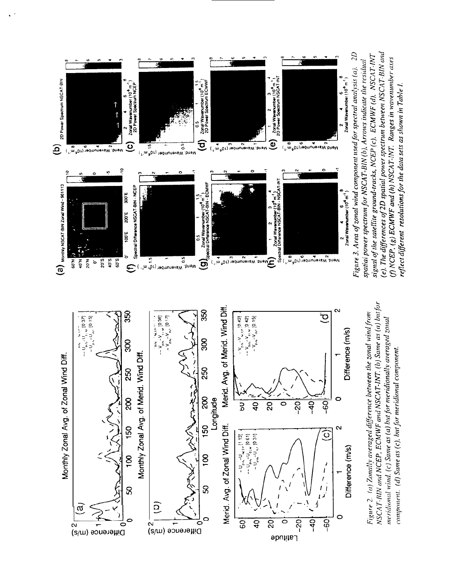

NSCAT-BIN and NCEP, ECMWF and NSCAT-INT. (b) Same as (a) but for Figure 2. (a) Zonally averaged difference between the zonal wind from meridional wind. (c) Same as (a) but for meridionally averaged zonal component. (d) Same as (c), but for meridional component.



(e). The differences of 2D spatial power spectrum between NSCAT-BIN and Figure 3. Area of zonal wind component used for spectral analysis (a). 2D signal of the satellite ground-tracks, NCEP (c), ECMWF (d), NSCAT-INT  $(f)$  NCEP,  $(g)$  ECMWF and  $(h)$  NSCAT-INT. Ranges in wavenumber axes spatial power spectrum for NSCAT-BIN  $(b)$ , Arrows indicate the residual reflect different resolutions for the data sets as shown in Table 1.